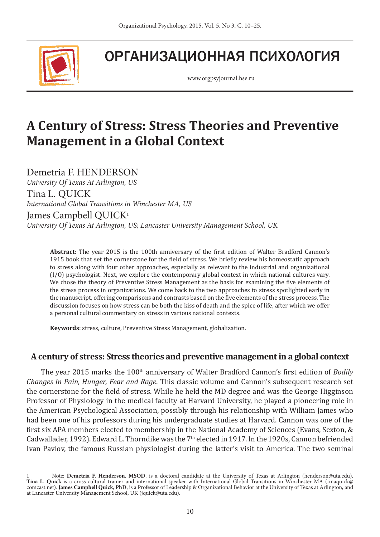

ОРГАНИЗАЦИОННАЯ ПСИХОЛОГИЯ

www.orgpsyjournal.hse.ru

# **A Century of Stress: Stress Theories and Preventive Management in a Global Context**

Demetria F. HENDERSON

*University Of Texas At Arlington, US* Tina L. QUICK *International Global Transitions in Winchester MA, US* James Campbell OUICK<sup>1</sup> *University Of Texas At Arlington, US; Lancaster University Management School, UK*

**Abstract**: The year 2015 is the 100th anniversary of the first edition of Walter Bradford Cannon's 1915 book that set the cornerstone for the field of stress. We briefly review his homeostatic approach to stress along with four other approaches, especially as relevant to the industrial and organizational (I/O) psychologist. Next, we explore the contemporary global context in which national cultures vary. We chose the theory of Preventive Stress Management as the basis for examining the five elements of the stress process in organizations. We come back to the two approaches to stress spotlighted early in the manuscript, offering comparisons and contrasts based on the five elements of the stress process. The discussion focuses on how stress can be both the kiss of death and the spice of life, after which we offer a personal cultural commentary on stress in various national contexts.

**Keywords**: stress, culture, Preventive Stress Management, globalization.

# **A century of stress: Stress theories and preventive management in a global context**

The year 2015 marks the 100<sup>th</sup> anniversary of Walter Bradford Cannon's first edition of *Bodily Changes in Pain, Hunger, Fear and Rage*. This classic volume and Cannon's subsequent research set the cornerstone for the field of stress. While he held the MD degree and was the George Higginson Professor of Physiology in the medical faculty at Harvard University, he played a pioneering role in the American Psychological Association, possibly through his relationship with William James who had been one of his professors during his undergraduate studies at Harvard. Cannon was one of the first six APA members elected to membership in the National Academy of Sciences (Evans, Sexton, & Cadwallader, 1992). Edward L. Thorndike was the 7<sup>th</sup> elected in 1917. In the 1920s, Cannon befriended Ivan Pavlov, the famous Russian physiologist during the latter's visit to America. The two seminal

Note: Demetria F. Henderson, MSOD, is a doctoral candidate at the University of Texas at Arlington (henderson@uta.edu). **Tina L. Quick** is a cross-cultural trainer and international speaker with International Global Transitions in Winchester MA (tinaquick@ comcast.net). **James Campbell Quick**, **PhD**, is a Professor of Leadership & Organizational Behavior at the University of Texas at Arlington, and at Lancaster University Management School, UK (jquick@uta.edu).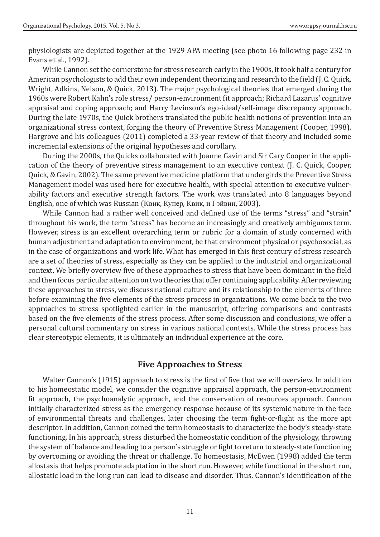physiologists are depicted together at the 1929 APA meeting (see photo 16 following page 232 in Evans et al., 1992).

While Cannon set the cornerstone for stress research early in the 1900s, it took half a century for American psychologists to add their own independent theorizing and research to the field (J. C. Quick, Wright, Adkins, Nelson, & Quick, 2013). The major psychological theories that emerged during the 1960s were Robert Kahn's role stress/ person-environment fit approach; Richard Lazarus' cognitive appraisal and coping approach; and Harry Levinson's ego-ideal/self-image discrepancy approach. During the late 1970s, the Quick brothers translated the public health notions of prevention into an organizational stress context, forging the theory of Preventive Stress Management (Cooper, 1998). Hargrove and his colleagues (2011) completed a 33-year review of that theory and included some incremental extensions of the original hypotheses and corollary.

During the 2000s, the Quicks collaborated with Joanne Gavin and Sir Cary Cooper in the application of the theory of preventive stress management to an executive context (J. C. Quick, Cooper, Quick, & Gavin, 2002). The same preventive medicine platform that undergirds the Preventive Stress Management model was used here for executive health, with special attention to executive vulnerability factors and executive strength factors. The work was translated into 8 languages beyond English, one of which was Russian (Квик, Купер, Квик, и Гэйвин, 2003).

While Cannon had a rather well conceived and defined use of the terms "stress" and "strain" throughout his work, the term "stress" has become an increasingly and creatively ambiguous term. However, stress is an excellent overarching term or rubric for a domain of study concerned with human adjustment and adaptation to environment, be that environment physical or psychosocial, as in the case of organizations and work life. What has emerged in this first century of stress research are a set of theories of stress, especially as they can be applied to the industrial and organizational context. We briefly overview five of these approaches to stress that have been dominant in the field and then focus particular attention on two theories that offer continuing applicability. After reviewing these approaches to stress, we discuss national culture and its relationship to the elements of three before examining the five elements of the stress process in organizations. We come back to the two approaches to stress spotlighted earlier in the manuscript, offering comparisons and contrasts based on the five elements of the stress process. After some discussion and conclusions, we offer a personal cultural commentary on stress in various national contexts. While the stress process has clear stereotypic elements, it is ultimately an individual experience at the core.

#### **Five Approaches to Stress**

Walter Cannon's (1915) approach to stress is the first of five that we will overview. In addition to his homeostatic model, we consider the cognitive appraisal approach, the person-environment fit approach, the psychoanalytic approach, and the conservation of resources approach. Cannon initially characterized stress as the emergency response because of its systemic nature in the face of environmental threats and challenges, later choosing the term fight-or-flight as the more apt descriptor. In addition, Cannon coined the term homeostasis to characterize the body's steady-state functioning. In his approach, stress disturbed the homeostatic condition of the physiology, throwing the system off balance and leading to a person's struggle or fight to return to steady-state functioning by overcoming or avoiding the threat or challenge. To homeostasis, McEwen (1998) added the term allostasis that helps promote adaptation in the short run. However, while functional in the short run, allostatic load in the long run can lead to disease and disorder. Thus, Cannon's identification of the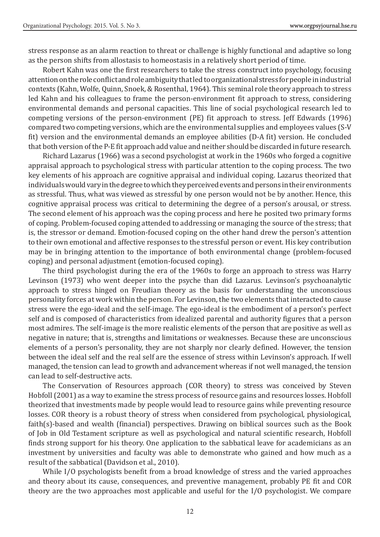stress response as an alarm reaction to threat or challenge is highly functional and adaptive so long as the person shifts from allostasis to homeostasis in a relatively short period of time.

Robert Kahn was one the first researchers to take the stress construct into psychology, focusing attention on the role conflict and role ambiguity that led to organizational stress for people in industrial contexts (Kahn, Wolfe, Quinn, Snoek, & Rosenthal, 1964). This seminal role theory approach to stress led Kahn and his colleagues to frame the person-environment fit approach to stress, considering environmental demands and personal capacities. This line of social psychological research led to competing versions of the person-environment (PE) fit approach to stress. Jeff Edwards (1996) compared two competing versions, which are the environmental supplies and employees values (S-V fit) version and the environmental demands an employee abilities (D-A fit) version. He concluded that both version of the P-E fit approach add value and neither should be discarded in future research.

Richard Lazarus (1966) was a second psychologist at work in the 1960s who forged a cognitive appraisal approach to psychological stress with particular attention to the coping process. The two key elements of his approach are cognitive appraisal and individual coping. Lazarus theorized that individuals would vary in the degree to which they perceived events and persons in their environments as stressful. Thus, what was viewed as stressful by one person would not be by another. Hence, this cognitive appraisal process was critical to determining the degree of a person's arousal, or stress. The second element of his approach was the coping process and here he posited two primary forms of coping. Problem-focused coping attended to addressing or managing the source of the stress; that is, the stressor or demand. Emotion-focused coping on the other hand drew the person's attention to their own emotional and affective responses to the stressful person or event. His key contribution may be in bringing attention to the importance of both environmental change (problem-focused coping) and personal adjustment (emotion-focused coping).

The third psychologist during the era of the 1960s to forge an approach to stress was Harry Levinson (1973) who went deeper into the psyche than did Lazarus. Levinson's psychoanalytic approach to stress hinged on Freudian theory as the basis for understanding the unconscious personality forces at work within the person. For Levinson, the two elements that interacted to cause stress were the ego-ideal and the self-image. The ego-ideal is the embodiment of a person's perfect self and is composed of characteristics from idealized parental and authority figures that a person most admires. The self-image is the more realistic elements of the person that are positive as well as negative in nature; that is, strengths and limitations or weaknesses. Because these are unconscious elements of a person's personality, they are not sharply nor clearly defined. However, the tension between the ideal self and the real self are the essence of stress within Levinson's approach. If well managed, the tension can lead to growth and advancement whereas if not well managed, the tension can lead to self-destructive acts.

The Conservation of Resources approach (COR theory) to stress was conceived by Steven Hobfoll (2001) as a way to examine the stress process of resource gains and resources losses. Hobfoll theorized that investments made by people would lead to resource gains while preventing resource losses. COR theory is a robust theory of stress when considered from psychological, physiological, faith(s)-based and wealth (financial) perspectives. Drawing on biblical sources such as the Book of Job in Old Testament scripture as well as psychological and natural scientific research, Hobfoll finds strong support for his theory. One application to the sabbatical leave for academicians as an investment by universities and faculty was able to demonstrate who gained and how much as a result of the sabbatical (Davidson et al., 2010).

While I/O psychologists benefit from a broad knowledge of stress and the varied approaches and theory about its cause, consequences, and preventive management, probably PE fit and COR theory are the two approaches most applicable and useful for the I/O psychologist. We compare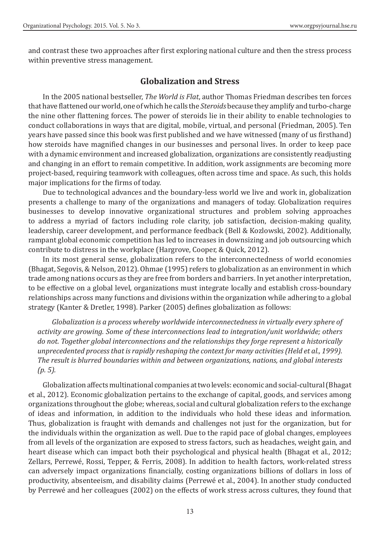and contrast these two approaches after first exploring national culture and then the stress process within preventive stress management.

# **Globalization and Stress**

In the 2005 national bestseller, *The World is Flat*, author Thomas Friedman describes ten forces that have flattened our world, one of which he calls the *Steroids* because they amplify and turbo-charge the nine other flattening forces. The power of steroids lie in their ability to enable technologies to conduct collaborations in ways that are digital, mobile, virtual, and personal (Friedman, 2005). Ten years have passed since this book was first published and we have witnessed (many of us firsthand) how steroids have magnified changes in our businesses and personal lives. In order to keep pace with a dynamic environment and increased globalization, organizations are consistently readjusting and changing in an effort to remain competitive. In addition, work assignments are becoming more project-based, requiring teamwork with colleagues, often across time and space. As such, this holds major implications for the firms of today.

Due to technological advances and the boundary-less world we live and work in, globalization presents a challenge to many of the organizations and managers of today. Globalization requires businesses to develop innovative organizational structures and problem solving approaches to address a myriad of factors including role clarity, job satisfaction, decision-making quality, leadership, career development, and performance feedback (Bell & Kozlowski, 2002). Additionally, rampant global economic competition has led to increases in downsizing and job outsourcing which contribute to distress in the workplace (Hargrove, Cooper, & Quick, 2012).

In its most general sense, globalization refers to the interconnectedness of world economies (Bhagat, Segovis, & Nelson, 2012). Ohmae (1995) refers to globalization as an environment in which trade among nations occurs as they are free from borders and barriers. In yet another interpretation, to be effective on a global level, organizations must integrate locally and establish cross-boundary relationships across many functions and divisions within the organization while adhering to a global strategy (Kanter & Dretler, 1998). Parker (2005) defines globalization as follows:

*Globalization is a process whereby worldwide interconnectedness in virtually every sphere of activity are growing. Some of these interconnections lead to integration/unit worldwide; others do not. Together global interconnections and the relationships they forge represent a historically unprecedented process that is rapidly reshaping the context for many activities (Held et al., 1999). The result is blurred boundaries within and between organizations, nations, and global interests (p. 5).*

Globalization affects multinational companies at two levels: economic and social-cultural (Bhagat et al., 2012). Economic globalization pertains to the exchange of capital, goods, and services among organizations throughout the globe; whereas, social and cultural globalization refers to the exchange of ideas and information, in addition to the individuals who hold these ideas and information. Thus, globalization is fraught with demands and challenges not just for the organization, but for the individuals within the organization as well. Due to the rapid pace of global changes, employees from all levels of the organization are exposed to stress factors, such as headaches, weight gain, and heart disease which can impact both their psychological and physical health (Bhagat et al., 2012; Zellars, Perrewé, Rossi, Tepper, & Ferris, 2008). In addition to health factors, work-related stress can adversely impact organizations financially, costing organizations billions of dollars in loss of productivity, absenteeism, and disability claims (Perrewé et al., 2004). In another study conducted by Perrewé and her colleagues (2002) on the effects of work stress across cultures, they found that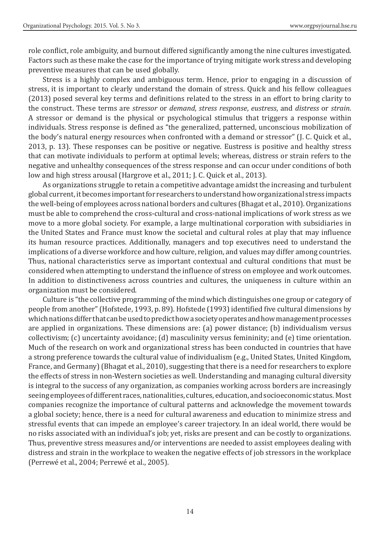role conflict, role ambiguity, and burnout differed significantly among the nine cultures investigated. Factors such as these make the case for the importance of trying mitigate work stress and developing preventive measures that can be used globally.

Stress is a highly complex and ambiguous term. Hence, prior to engaging in a discussion of stress, it is important to clearly understand the domain of stress. Quick and his fellow colleagues (2013) posed several key terms and definitions related to the stress in an effort to bring clarity to the construct. These terms are *stressor* or *demand*, *stress response*, *eustress*, and *distress* or *strain*. A stressor or demand is the physical or psychological stimulus that triggers a response within individuals. Stress response is defined as "the generalized, patterned, unconscious mobilization of the body's natural energy resources when confronted with a demand or stressor" (J. C. Quick et al., 2013, p. 13). These responses can be positive or negative. Eustress is positive and healthy stress that can motivate individuals to perform at optimal levels; whereas, distress or strain refers to the negative and unhealthy consequences of the stress response and can occur under conditions of both low and high stress arousal (Hargrove et al., 2011; J. C. Quick et al., 2013).

As organizations struggle to retain a competitive advantage amidst the increasing and turbulent global current, it becomes important for researchers to understand how organizational stress impacts the well-being of employees across national borders and cultures (Bhagat et al., 2010). Organizations must be able to comprehend the cross-cultural and cross-national implications of work stress as we move to a more global society. For example, a large multinational corporation with subsidiaries in the United States and France must know the societal and cultural roles at play that may influence its human resource practices. Additionally, managers and top executives need to understand the implications of a diverse workforce and how culture, religion, and values may differ among countries. Thus, national characteristics serve as important contextual and cultural conditions that must be considered when attempting to understand the influence of stress on employee and work outcomes. In addition to distinctiveness across countries and cultures, the uniqueness in culture within an organization must be considered.

Culture is "the collective programming of the mind which distinguishes one group or category of people from another" (Hofstede, 1993, p. 89). Hofstede (1993) identified five cultural dimensions by which nations differ that can be used to predict how a society operates and how management processes are applied in organizations. These dimensions are: (a) power distance; (b) individualism versus collectivism; (c) uncertainty avoidance; (d) masculinity versus femininity; and (e) time orientation. Much of the research on work and organizational stress has been conducted in countries that have a strong preference towards the cultural value of individualism (e.g., United States, United Kingdom, France, and Germany) (Bhagat et al., 2010), suggesting that there is a need for researchers to explore the effects of stress in non-Western societies as well. Understanding and managing cultural diversity is integral to the success of any organization, as companies working across borders are increasingly seeing employees of different races, nationalities, cultures, education, and socioeconomic status. Most companies recognize the importance of cultural patterns and acknowledge the movement towards a global society; hence, there is a need for cultural awareness and education to minimize stress and stressful events that can impede an employee's career trajectory. In an ideal world, there would be no risks associated with an individual's job; yet, risks are present and can be costly to organizations. Thus, preventive stress measures and/or interventions are needed to assist employees dealing with distress and strain in the workplace to weaken the negative effects of job stressors in the workplace (Perrewé et al., 2004; Perrewé et al., 2005).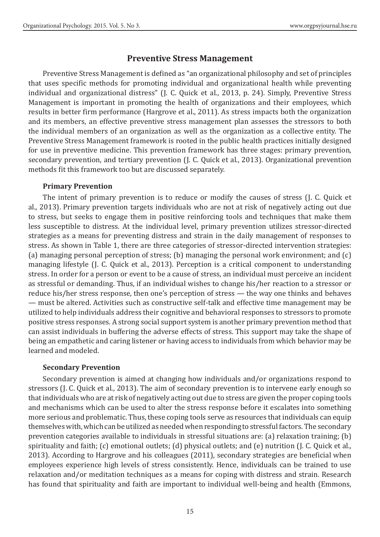# **Preventive Stress Management**

Preventive Stress Management is defined as "an organizational philosophy and set of principles that uses specific methods for promoting individual and organizational health while preventing individual and organizational distress" (J. C. Quick et al., 2013, p. 24). Simply, Preventive Stress Management is important in promoting the health of organizations and their employees, which results in better firm performance (Hargrove et al., 2011). As stress impacts both the organization and its members, an effective preventive stress management plan assesses the stressors to both the individual members of an organization as well as the organization as a collective entity. The Preventive Stress Management framework is rooted in the public health practices initially designed for use in preventive medicine. This prevention framework has three stages: primary prevention, secondary prevention, and tertiary prevention (J. C. Quick et al., 2013). Organizational prevention methods fit this framework too but are discussed separately.

#### **Primary Prevention**

The intent of primary prevention is to reduce or modify the causes of stress (J. C. Quick et al., 2013). Primary prevention targets individuals who are not at risk of negatively acting out due to stress, but seeks to engage them in positive reinforcing tools and techniques that make them less susceptible to distress. At the individual level, primary prevention utilizes stressor-directed strategies as a means for preventing distress and strain in the daily management of responses to stress. As shown in Table 1, there are three categories of stressor-directed intervention strategies: (a) managing personal perception of stress; (b) managing the personal work environment; and (c) managing lifestyle (J. C. Quick et al., 2013). Perception is a critical component to understanding stress. In order for a person or event to be a cause of stress, an individual must perceive an incident as stressful or demanding. Thus, if an individual wishes to change his/her reaction to a stressor or reduce his/her stress response, then one's perception of stress — the way one thinks and behaves — must be altered. Activities such as constructive self-talk and effective time management may be utilized to help individuals address their cognitive and behavioral responses to stressors to promote positive stress responses. A strong social support system is another primary prevention method that can assist individuals in buffering the adverse effects of stress. This support may take the shape of being an empathetic and caring listener or having access to individuals from which behavior may be learned and modeled.

#### **Secondary Prevention**

Secondary prevention is aimed at changing how individuals and/or organizations respond to stressors (J. C. Quick et al., 2013). The aim of secondary prevention is to intervene early enough so that individuals who are at risk of negatively acting out due to stress are given the proper coping tools and mechanisms which can be used to alter the stress response before it escalates into something more serious and problematic. Thus, these coping tools serve as resources that individuals can equip themselves with, which can be utilized as needed when responding to stressful factors. The secondary prevention categories available to individuals in stressful situations are: (a) relaxation training; (b) spirituality and faith; (c) emotional outlets; (d) physical outlets; and (e) nutrition (J. C. Quick et al., 2013). According to Hargrove and his colleagues (2011), secondary strategies are beneficial when employees experience high levels of stress consistently. Hence, individuals can be trained to use relaxation and/or meditation techniques as a means for coping with distress and strain. Research has found that spirituality and faith are important to individual well-being and health (Emmons,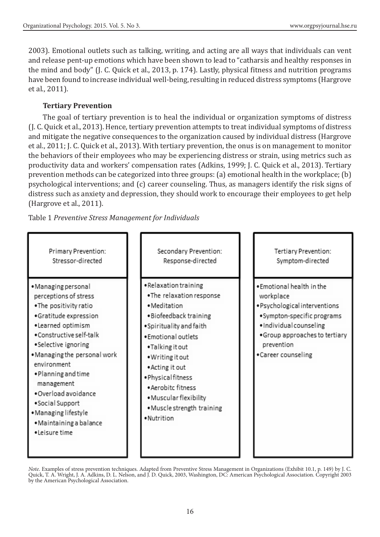2003). Emotional outlets such as talking, writing, and acting are all ways that individuals can vent and release pent-up emotions which have been shown to lead to "catharsis and healthy responses in the mind and body" (J. C. Quick et al., 2013, p. 174). Lastly, physical fitness and nutrition programs have been found to increase individual well-being, resulting in reduced distress symptoms (Hargrove et al., 2011).

## **Tertiary Prevention**

The goal of tertiary prevention is to heal the individual or organization symptoms of distress (J. C. Quick et al., 2013). Hence, tertiary prevention attempts to treat individual symptoms of distress and mitigate the negative consequences to the organization caused by individual distress (Hargrove et al., 2011; J. C. Quick et al., 2013). With tertiary prevention, the onus is on management to monitor the behaviors of their employees who may be experiencing distress or strain, using metrics such as productivity data and workers' compensation rates (Adkins, 1999; J. C. Quick et al., 2013). Tertiary prevention methods can be categorized into three groups: (a) emotional health in the workplace; (b) psychological interventions; and (c) career counseling. Thus, as managers identify the risk signs of distress such as anxiety and depression, they should work to encourage their employees to get help (Hargrove et al., 2011).

Table 1 *Preventive Stress Management for Individuals*



*Note*. Examples of stress prevention techniques. Adapted from Preventive Stress Management in Organizations (Exhibit 10.1, p. 149) by J. C. Quick, T. A. Wright, J. A. Adkins, D. L. Nelson, and J. D. Quick, 2003, Washington, DC: American Psychological Association. Copyright 2003 by the American Psychological Association.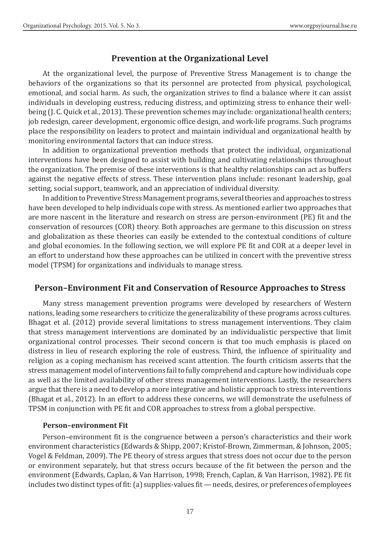# **Prevention at the Organizational Level**

At the organizational level, the purpose of Preventive Stress Management is to change the behaviors of the organizations so that its personnel are protected from physical, psychological, emotional, and social harm. As such, the organization strives to find a balance where it can assist individuals in developing eustress, reducing distress, and optimizing stress to enhance their wellbeing (J. C. Quick et al., 2013). These prevention schemes may include: organizational health centers; job redesign, career development, ergonomic office design, and work-life programs. Such programs place the responsibility on leaders to protect and maintain individual and organizational health by monitoring environmental factors that can induce stress.

In addition to organizational prevention methods that protect the individual, organizational interventions have been designed to assist with building and cultivating relationships throughout the organization. The premise of these interventions is that healthy relationships can act as buffers against the negative effects of stress. These intervention plans include: resonant leadership, goal setting, social support, teamwork, and an appreciation of individual diversity.

In addition to Preventive Stress Management programs, several theories and approaches to stress have been developed to help individuals cope with stress. As mentioned earlier two approaches that are more nascent in the literature and research on stress are person-environment (PE) fit and the conservation of resources (COR) theory. Both approaches are germane to this discussion on stress and globalization as these theories can easily be extended to the contextual conditions of culture and global economies. In the following section, we will explore PE fit and COR at a deeper level in an effort to understand how these approaches can be utilized in concert with the preventive stress model (TPSM) for organizations and individuals to manage stress.

# **Person–Environment Fit and Conservation of Resource Approaches to Stress**

Many stress management prevention programs were developed by researchers of Western nations, leading some researchers to criticize the generalizability of these programs across cultures. Bhagat et al. (2012) provide several limitations to stress management interventions. They claim that stress management interventions are dominated by an individualistic perspective that limit organizational control processes. Their second concern is that too much emphasis is placed on distress in lieu of research exploring the role of eustress. Third, the influence of spirituality and religion as a coping mechanism has received scant attention. The fourth criticism asserts that the stress management model of interventions fail to fully comprehend and capture how individuals cope as well as the limited availability of other stress management interventions. Lastly, the researchers argue that there is a need to develop a more integrative and holistic approach to stress interventions (Bhagat et al., 2012). In an effort to address these concerns, we will demonstrate the usefulness of TPSM in conjunction with PE fit and COR approaches to stress from a global perspective.

#### **Person–environment Fit**

Person–environment fit is the congruence between a person's characteristics and their work environment characteristics (Edwards & Shipp, 2007; Kristof-Brown, Zimmerman, & Johnson, 2005; Vogel & Feldman, 2009). The PE theory of stress argues that stress does not occur due to the person or environment separately, but that stress occurs because of the fit between the person and the environment (Edwards, Caplan, & Van Harrison, 1998; French, Caplan, & Van Harrison, 1982). PE fit includes two distinct types of fit: (a) supplies-values fit — needs, desires, or preferences of employees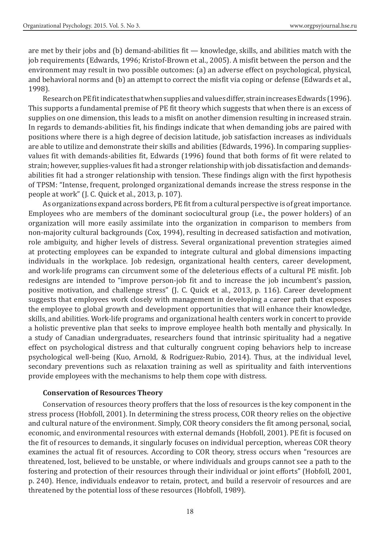are met by their jobs and (b) demand-abilities fit — knowledge, skills, and abilities match with the job requirements (Edwards, 1996; Kristof-Brown et al., 2005). A misfit between the person and the environment may result in two possible outcomes: (a) an adverse effect on psychological, physical, and behavioral norms and (b) an attempt to correct the misfit via coping or defense (Edwards et al., 1998).

Research on PE fit indicates that when supplies and values differ, strain increases Edwards (1996). This supports a fundamental premise of PE fit theory which suggests that when there is an excess of supplies on one dimension, this leads to a misfit on another dimension resulting in increased strain. In regards to demands-abilities fit, his findings indicate that when demanding jobs are paired with positions where there is a high degree of decision latitude, job satisfaction increases as individuals are able to utilize and demonstrate their skills and abilities (Edwards, 1996). In comparing suppliesvalues fit with demands-abilities fit, Edwards (1996) found that both forms of fit were related to strain; however, supplies-values fit had a stronger relationship with job dissatisfaction and demandsabilities fit had a stronger relationship with tension. These findings align with the first hypothesis of TPSM: "Intense, frequent, prolonged organizational demands increase the stress response in the people at work" (J. C. Quick et al., 2013, p. 107).

As organizations expand across borders, PE fit from a cultural perspective is of great importance. Employees who are members of the dominant sociocultural group (i.e., the power holders) of an organization will more easily assimilate into the organization in comparison to members from non-majority cultural backgrounds (Cox, 1994), resulting in decreased satisfaction and motivation, role ambiguity, and higher levels of distress. Several organizational prevention strategies aimed at protecting employees can be expanded to integrate cultural and global dimensions impacting individuals in the workplace. Job redesign, organizational health centers, career development, and work-life programs can circumvent some of the deleterious effects of a cultural PE misfit. Job redesigns are intended to "improve person-job fit and to increase the job incumbent's passion, positive motivation, and challenge stress" (J. C. Quick et al., 2013, p. 116). Career development suggests that employees work closely with management in developing a career path that exposes the employee to global growth and development opportunities that will enhance their knowledge, skills, and abilities. Work-life programs and organizational health centers work in concert to provide a holistic preventive plan that seeks to improve employee health both mentally and physically. In a study of Canadian undergraduates, researchers found that intrinsic spirituality had a negative effect on psychological distress and that culturally congruent coping behaviors help to increase psychological well-being (Kuo, Arnold, & Rodriguez-Rubio, 2014). Thus, at the individual level, secondary preventions such as relaxation training as well as spirituality and faith interventions provide employees with the mechanisms to help them cope with distress.

#### **Conservation of Resources Theory**

Conservation of resources theory proffers that the loss of resources is the key component in the stress process (Hobfoll, 2001). In determining the stress process, COR theory relies on the objective and cultural nature of the environment. Simply, COR theory considers the fit among personal, social, economic, and environmental resources with external demands (Hobfoll, 2001). PE fit is focused on the fit of resources to demands, it singularly focuses on individual perception, whereas COR theory examines the actual fit of resources. According to COR theory, stress occurs when "resources are threatened, lost, believed to be unstable, or where individuals and groups cannot see a path to the fostering and protection of their resources through their individual or joint efforts" (Hobfoll, 2001, p. 240). Hence, individuals endeavor to retain, protect, and build a reservoir of resources and are threatened by the potential loss of these resources (Hobfoll, 1989).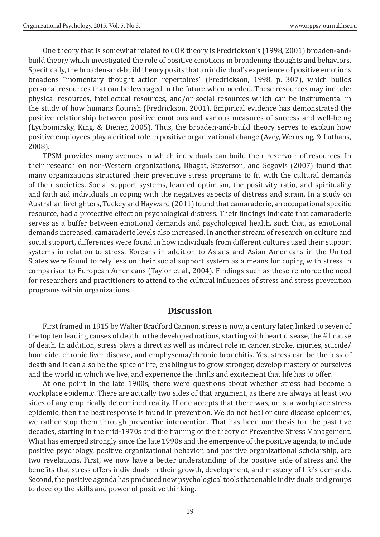One theory that is somewhat related to COR theory is Fredrickson's (1998, 2001) broaden-andbuild theory which investigated the role of positive emotions in broadening thoughts and behaviors. Specifically, the broaden-and-build theory posits that an individual's experience of positive emotions broadens "momentary thought action repertoires" (Fredrickson, 1998, p. 307), which builds personal resources that can be leveraged in the future when needed. These resources may include: physical resources, intellectual resources, and/or social resources which can be instrumental in the study of how humans flourish (Fredrickson, 2001). Empirical evidence has demonstrated the positive relationship between positive emotions and various measures of success and well-being (Lyubomirsky, King, & Diener, 2005). Thus, the broaden-and-build theory serves to explain how positive employees play a critical role in positive organizational change (Avey, Wernsing, & Luthans, 2008).

TPSM provides many avenues in which individuals can build their reservoir of resources. In their research on non-Western organizations, Bhagat, Steverson, and Segovis (2007) found that many organizations structured their preventive stress programs to fit with the cultural demands of their societies. Social support systems, learned optimism, the positivity ratio, and spirituality and faith aid individuals in coping with the negatives aspects of distress and strain. In a study on Australian firefighters, Tuckey and Hayward (2011) found that camaraderie, an occupational specific resource, had a protective effect on psychological distress. Their findings indicate that camaraderie serves as a buffer between emotional demands and psychological health, such that, as emotional demands increased, camaraderie levels also increased. In another stream of research on culture and social support, differences were found in how individuals from different cultures used their support systems in relation to stress. Koreans in addition to Asians and Asian Americans in the United States were found to rely less on their social support system as a means for coping with stress in comparison to European Americans (Taylor et al., 2004). Findings such as these reinforce the need for researchers and practitioners to attend to the cultural influences of stress and stress prevention programs within organizations.

#### **Discussion**

First framed in 1915 by Walter Bradford Cannon, stress is now, a century later, linked to seven of the top ten leading causes of death in the developed nations, starting with heart disease, the #1 cause of death. In addition, stress plays a direct as well as indirect role in cancer, stroke, injuries, suicide/ homicide, chronic liver disease, and emphysema/chronic bronchitis. Yes, stress can be the kiss of death and it can also be the spice of life, enabling us to grow stronger, develop mastery of ourselves and the world in which we live, and experience the thrills and excitement that life has to offer.

At one point in the late 1900s, there were questions about whether stress had become a workplace epidemic. There are actually two sides of that argument, as there are always at least two sides of any empirically determined reality. If one accepts that there was, or is, a workplace stress epidemic, then the best response is found in prevention. We do not heal or cure disease epidemics, we rather stop them through preventive intervention. That has been our thesis for the past five decades, starting in the mid-1970s and the framing of the theory of Preventive Stress Management. What has emerged strongly since the late 1990s and the emergence of the positive agenda, to include positive psychology, positive organizational behavior, and positive organizational scholarship, are two revelations. First, we now have a better understanding of the positive side of stress and the benefits that stress offers individuals in their growth, development, and mastery of life's demands. Second, the positive agenda has produced new psychological tools that enable individuals and groups to develop the skills and power of positive thinking.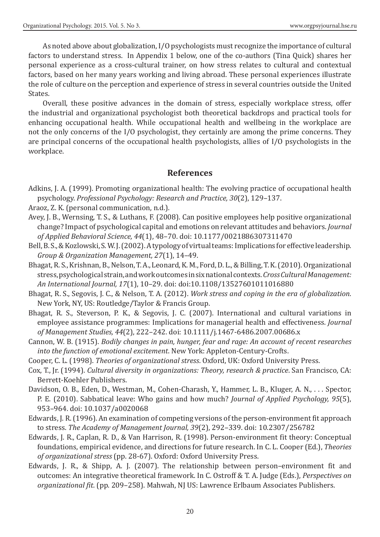As noted above about globalization, I/O psychologists must recognize the importance of cultural factors to understand stress. In Appendix 1 below, one of the co-authors (Tina Quick) shares her personal experience as a cross-cultural trainer, on how stress relates to cultural and contextual factors, based on her many years working and living abroad. These personal experiences illustrate the role of culture on the perception and experience of stress in several countries outside the United States.

Overall, these positive advances in the domain of stress, especially workplace stress, offer the industrial and organizational psychologist both theoretical backdrops and practical tools for enhancing occupational health. While occupational health and wellbeing in the workplace are not the only concerns of the I/O psychologist, they certainly are among the prime concerns. They are principal concerns of the occupational health psychologists, allies of I/O psychologists in the workplace.

## **References**

Adkins, J. A. (1999). Promoting organizational health: The evolving practice of occupational health psychology. *Professional Psychology: Research and Practice, 30*(2), 129–137.

Araoz, Z. K. (personal communication, n.d.).

- Avey, J. B., Wernsing, T. S., & Luthans, F. (2008). Can positive employees help positive organizational change? Impact of psychological capital and emotions on relevant attitudes and behaviors. *Journal of Applied Behavioral Science, 44*(1), 48–70. doi: 10.1177/0021886307311470
- Bell, B. S., & Kozlowski, S. W. J. (2002). A typology of virtual teams: Implications for effective leadership. *Group & Organization Management, 27*(1), 14–49.
- Bhagat, R. S., Krishnan, B., Nelson, T. A., Leonard, K. M., Ford, D. L., & Billing, T. K. (2010). Organizational stress, psychological strain, and work outcomes in six national contexts. *Cross Cultural Management: An International Journal, 17*(1), 10–29. doi: doi:10.1108/13527601011016880
- Bhagat, R. S., Segovis, J. C., & Nelson, T. A. (2012). *Work stress and coping in the era of globalization*. New York, NY, US: Routledge/Taylor & Francis Group.
- Bhagat, R. S., Steverson, P. K., & Segovis, J. C. (2007). International and cultural variations in employee assistance programmes: Implications for managerial health and effectiveness. *Journal of Management Studies, 44*(2), 222–242. doi: 10.1111/j.1467-6486.2007.00686.x
- Cannon, W. B. (1915). *Bodily changes in pain, hunger, fear and rage: An account of recent researches into the function of emotional excitement*. New York: Appleton-Century-Crofts.
- Cooper, C. L. (1998). *Theories of organizational stress*. Oxford, UK: Oxford University Press.
- Cox, T., Jr. (1994). *Cultural diversity in organizations: Theory, research & practice*. San Francisco, CA: Berrett-Koehler Publishers.
- Davidson, O. B., Eden, D., Westman, M., Cohen-Charash, Y., Hammer, L. B., Kluger, A. N., . . . Spector, P. E. (2010). Sabbatical leave: Who gains and how much? *Journal of Applied Psychology, 95*(5), 953–964. doi: 10.1037/a0020068
- Edwards, J. R. (1996). An examination of competing versions of the person-environment fit approach to stress. *The Academy of Management Journal, 39*(2), 292–339. doi: 10.2307/256782
- Edwards, J. R., Caplan, R. D., & Van Harrison, R. (1998). Person-environment fit theory: Conceptual foundations, empirical evidence, and directions for future research. In C. L. Cooper (Ed.), *Theories of organizational stress* (pp. 28-67). Oxford: Oxford University Press.
- Edwards, J. R., & Shipp, A. J. (2007). The relationship between person–environment fit and outcomes: An integrative theoretical framework. In C. Ostroff & T. A. Judge (Eds.), *Perspectives on organizational fit.* (pp. 209–258). Mahwah, NJ US: Lawrence Erlbaum Associates Publishers.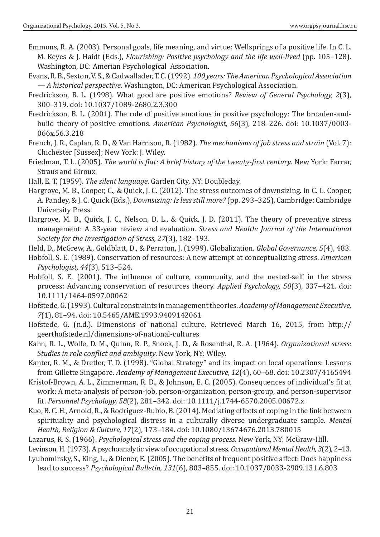- Emmons, R. A. (2003). Personal goals, life meaning, and virtue: Wellsprings of a positive life. In C. L. M. Keyes & J. Haidt (Eds.), *Flourishing: Positive psychology and the life well-lived* (pp. 105–128). Washington, DC: Amerian Psychological Association.
- Evans, R. B., Sexton, V. S., & Cadwallader, T. C. (1992). *100 years: The American Psychological Association — A historical perspective*. Washington, DC: American Psychological Association.
- Fredrickson, B. L. (1998). What good are positive emotions? *Review of General Psychology, 2*(3), 300–319. doi: 10.1037/1089-2680.2.3.300
- Fredrickson, B. L. (2001). The role of positive emotions in positive psychology: The broaden-andbuild theory of positive emotions. *American Psychologist, 56*(3), 218–226. doi: 10.1037/0003- 066x.56.3.218
- French, J. R., Caplan, R. D., & Van Harrison, R. (1982). *The mechanisms of job stress and strain* (Vol. 7): Chichester [Sussex]; New York: J. Wiley.

Friedman, T. L. (2005). *The world is flat: A brief history of the twenty-first century*. New York: Farrar, Straus and Giroux.

- Hall, E. T. (1959). *The silent language*. Garden City, NY: Doubleday.
- Hargrove, M. B., Cooper, C., & Quick, J. C. (2012). The stress outcomes of downsizing. In C. L. Cooper, A. Pandey, & J. C. Quick (Eds.), *Downsizing: Is less still more?* (pp. 293–325). Cambridge: Cambridge University Press.
- Hargrove, M. B., Quick, J. C., Nelson, D. L., & Quick, J. D. (2011). The theory of preventive stress management: A 33-year review and evaluation. *Stress and Health: Journal of the International Society for the Investigation of Stress, 27*(3), 182–193.
- Held, D., McGrew, A., Goldblatt, D., & Perraton, J. (1999). Globalization. *Global Governance, 5*(4), 483.
- Hobfoll, S. E. (1989). Conservation of resources: A new attempt at conceptualizing stress. *American Psychologist, 44*(3), 513–524.
- Hobfoll, S. E. (2001). The influence of culture, community, and the nested-self in the stress process: Advancing conservation of resources theory. *Applied Psychology, 50*(3), 337–421. doi: 10.1111/1464-0597.00062
- Hofstede, G. (1993). Cultural constraints in management theories. *Academy of Management Executive, 7*(1), 81–94. doi: 10.5465/AME.1993.9409142061

Hofstede, G. (n.d.). Dimensions of national culture. Retrieved March 16, 2015, from http:// geerthofstede.nl/dimensions-of-national-cultures

- Kahn, R. L., Wolfe, D. M., Quinn, R. P., Snoek, J. D., & Rosenthal, R. A. (1964). *Organizational stress: Studies in role conflict and ambiguity*. New York, NY: Wiley.
- Kanter, R. M., & Dretler, T. D. (1998). "Global Strategy" and its impact on local operations: Lessons from Gillette Singapore. *Academy of Management Executive, 12*(4), 60–68. doi: 10.2307/4165494

Kristof-Brown, A. L., Zimmerman, R. D., & Johnson, E. C. (2005). Consequences of individual's fit at work: A meta-analysis of person-job, person-organization, person-group, and person-supervisor fit. *Personnel Psychology, 58*(2), 281–342. doi: 10.1111/j.1744-6570.2005.00672.x

- Kuo, B. C. H., Arnold, R., & Rodriguez-Rubio, B. (2014). Mediating effects of coping in the link between spirituality and psychological distress in a culturally diverse undergraduate sample. *Mental Health, Religion & Culture, 17*(2), 173–184. doi: 10.1080/13674676.2013.780015
- Lazarus, R. S. (1966). *Psychological stress and the coping process*. New York, NY: McGraw-Hill.

Levinson, H. (1973). A psychoanalytic view of occupational stress. *Occupational Mental Health, 3*(2), 2–13.

Lyubomirsky, S., King, L., & Diener, E. (2005). The benefits of frequent positive affect: Does happiness lead to success? *Psychological Bulletin, 131*(6), 803–855. doi: 10.1037/0033-2909.131.6.803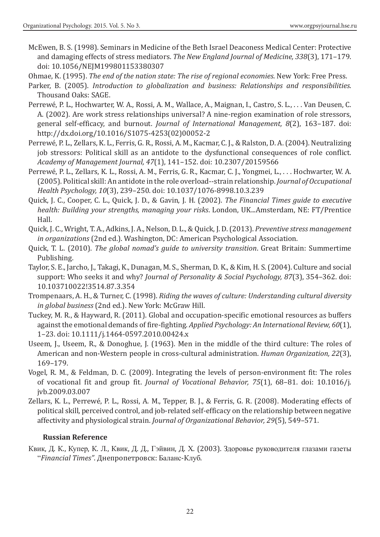- McEwen, B. S. (1998). Seminars in Medicine of the Beth Israel Deaconess Medical Center: Protective and damaging effects of stress mediators. *The New England Journal of Medicine, 338*(3), 171–179. doi: 10.1056/NEJM199801153380307
- Ohmae, K. (1995). *The end of the nation state: The rise of regional economies*. New York: Free Press.
- Parker, B. (2005). *Introduction to globalization and business: Relationships and responsibilities*. Thousand Oaks: SAGE.
- Perrewé, P. L., Hochwarter, W. A., Rossi, A. M., Wallace, A., Maignan, I., Castro, S. L., . . . Van Deusen, C. A. (2002). Are work stress relationships universal? A nine-region examination of role stressors, general self-efficacy, and burnout. *Journal of International Management, 8*(2), 163–187. doi: http://dx.doi.org/10.1016/S1075-4253(02)00052-2
- Perrewé, P. L., Zellars, K. L., Ferris, G. R., Rossi, A. M., Kacmar, C. J., & Ralston, D. A. (2004). Neutralizing job stressors: Political skill as an antidote to the dysfunctional consequences of role conflict. *Academy of Management Journal, 47*(1), 141–152. doi: 10.2307/20159566
- Perrewé, P. L., Zellars, K. L., Rossi, A. M., Ferris, G. R., Kacmar, C. J., Yongmei, L., . . . Hochwarter, W. A. (2005). Political skill: An antidote in the role overload--strain relationship. *Journal of Occupational Health Psychology, 10*(3), 239–250. doi: 10.1037/1076-8998.10.3.239
- Quick, J. C., Cooper, C. L., Quick, J. D., & Gavin, J. H. (2002). *The Financial Times guide to executive health: Building your strengths, managing your risks*. London, UK...Amsterdam, NE: FT/Prentice Hall.
- Quick, J. C., Wright, T. A., Adkins, J. A., Nelson, D. L., & Quick, J. D. (2013). *Preventive stress management in organizations* (2nd ed.). Washington, DC: American Psychological Association.
- Quick, T. L. (2010). *The global nomad's guide to university transition*. Great Britain: Summertime Publishing.
- Taylor, S. E., Jarcho, J., Takagi, K., Dunagan, M. S., Sherman, D. K., & Kim, H. S. (2004). Culture and social support: Who seeks it and why? *Journal of Personality & Social Psychology, 87*(3), 354–362. doi: 10.103710022!3514.87.3.354
- Trompenaars, A. H., & Turner, C. (1998). *Riding the waves of culture: Understanding cultural diversity in global business* (2nd ed.). New York: McGraw Hill.
- Tuckey, M. R., & Hayward, R. (2011). Global and occupation-specific emotional resources as buffers against the emotional demands of fire-fighting. *Applied Psychology: An International Review, 60*(1), 1–23. doi: 10.1111/j.1464-0597.2010.00424.x
- Useem, J., Useem, R., & Donoghue, J. (1963). Men in the middle of the third culture: The roles of American and non-Western people in cross-cultural administration. *Human Organization, 22*(3), 169–179.
- Vogel, R. M., & Feldman, D. C. (2009). Integrating the levels of person-environment fit: The roles of vocational fit and group fit. *Journal of Vocational Behavior, 75*(1), 68–81. doi: 10.1016/j. jvb.2009.03.007
- Zellars, K. L., Perrewé, P. L., Rossi, A. M., Tepper, B. J., & Ferris, G. R. (2008). Moderating effects of political skill, perceived control, and job-related self-efficacy on the relationship between negative affectivity and physiological strain. *Journal of Organizational Behavior, 29*(5), 549–571.

#### **Russian Reference**

Квик, Д. К., Купер, К. Л., Квик, Д. Д., Гэйвин, Д. Х. (2003). Здоровье руководителя глазами газеты "*Financial Times"*. Днепропетровск: Баланс-Клуб.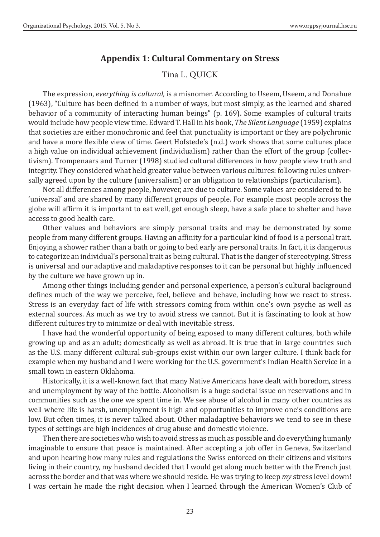# **Appendix 1: Cultural Commentary on Stress**

# Tina L. QUICK

The expression, *everything is cultural*, is a misnomer. According to Useem, Useem, and Donahue (1963), "Culture has been defined in a number of ways, but most simply, as the learned and shared behavior of a community of interacting human beings" (p. 169). Some examples of cultural traits would include how people view time. Edward T. Hall in his book, *The Silent Language* (1959) explains that societies are either monochronic and feel that punctuality is important or they are polychronic and have a more flexible view of time. Geert Hofstede's (n.d.) work shows that some cultures place a high value on individual achievement (individualism) rather than the effort of the group (collectivism). Trompenaars and Turner (1998) studied cultural differences in how people view truth and integrity. They considered what held greater value between various cultures: following rules universally agreed upon by the culture (universalism) or an obligation to relationships (particularism).

Not all differences among people, however, are due to culture. Some values are considered to be 'universal' and are shared by many different groups of people. For example most people across the globe will affirm it is important to eat well, get enough sleep, have a safe place to shelter and have access to good health care.

Other values and behaviors are simply personal traits and may be demonstrated by some people from many different groups. Having an affinity for a particular kind of food is a personal trait. Enjoying a shower rather than a bath or going to bed early are personal traits. In fact, it is dangerous to categorize an individual's personal trait as being cultural. That is the danger of stereotyping. Stress is universal and our adaptive and maladaptive responses to it can be personal but highly influenced by the culture we have grown up in.

Among other things including gender and personal experience, a person's cultural background defines much of the way we perceive, feel, believe and behave, including how we react to stress. Stress is an everyday fact of life with stressors coming from within one's own psyche as well as external sources. As much as we try to avoid stress we cannot. But it is fascinating to look at how different cultures try to minimize or deal with inevitable stress.

I have had the wonderful opportunity of being exposed to many different cultures, both while growing up and as an adult; domestically as well as abroad. It is true that in large countries such as the U.S. many different cultural sub-groups exist within our own larger culture. I think back for example when my husband and I were working for the U.S. government's Indian Health Service in a small town in eastern Oklahoma.

Historically, it is a well-known fact that many Native Americans have dealt with boredom, stress and unemployment by way of the bottle. Alcoholism is a huge societal issue on reservations and in communities such as the one we spent time in. We see abuse of alcohol in many other countries as well where life is harsh, unemployment is high and opportunities to improve one's conditions are low. But often times, it is never talked about. Other maladaptive behaviors we tend to see in these types of settings are high incidences of drug abuse and domestic violence.

Then there are societies who wish to avoid stress as much as possible and do everything humanly imaginable to ensure that peace is maintained. After accepting a job offer in Geneva, Switzerland and upon hearing how many rules and regulations the Swiss enforced on their citizens and visitors living in their country, my husband decided that I would get along much better with the French just across the border and that was where we should reside. He was trying to keep *my* stress level down! I was certain he made the right decision when I learned through the American Women's Club of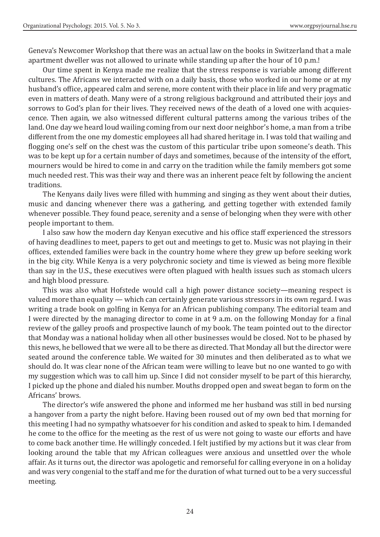Geneva's Newcomer Workshop that there was an actual law on the books in Switzerland that a male apartment dweller was not allowed to urinate while standing up after the hour of 10 p.m.!

Our time spent in Kenya made me realize that the stress response is variable among different cultures. The Africans we interacted with on a daily basis, those who worked in our home or at my husband's office, appeared calm and serene, more content with their place in life and very pragmatic even in matters of death. Many were of a strong religious background and attributed their joys and sorrows to God's plan for their lives. They received news of the death of a loved one with acquiescence. Then again, we also witnessed different cultural patterns among the various tribes of the land. One day we heard loud wailing coming from our next door neighbor's home, a man from a tribe different from the one my domestic employees all had shared heritage in. I was told that wailing and flogging one's self on the chest was the custom of this particular tribe upon someone's death. This was to be kept up for a certain number of days and sometimes, because of the intensity of the effort, mourners would be hired to come in and carry on the tradition while the family members got some much needed rest. This was their way and there was an inherent peace felt by following the ancient traditions.

The Kenyans daily lives were filled with humming and singing as they went about their duties, music and dancing whenever there was a gathering, and getting together with extended family whenever possible. They found peace, serenity and a sense of belonging when they were with other people important to them.

I also saw how the modern day Kenyan executive and his office staff experienced the stressors of having deadlines to meet, papers to get out and meetings to get to. Music was not playing in their offices, extended families were back in the country home where they grew up before seeking work in the big city. While Kenya is a very polychronic society and time is viewed as being more flexible than say in the U.S., these executives were often plagued with health issues such as stomach ulcers and high blood pressure.

This was also what Hofstede would call a high power distance society—meaning respect is valued more than equality — which can certainly generate various stressors in its own regard. I was writing a trade book on golfing in Kenya for an African publishing company. The editorial team and I were directed by the managing director to come in at 9 a.m. on the following Monday for a final review of the galley proofs and prospective launch of my book. The team pointed out to the director that Monday was a national holiday when all other businesses would be closed. Not to be phased by this news, he bellowed that we were all to be there as directed. That Monday all but the director were seated around the conference table. We waited for 30 minutes and then deliberated as to what we should do. It was clear none of the African team were willing to leave but no one wanted to go with my suggestion which was to call him up. Since I did not consider myself to be part of this hierarchy, I picked up the phone and dialed his number. Mouths dropped open and sweat began to form on the Africans' brows.

The director's wife answered the phone and informed me her husband was still in bed nursing a hangover from a party the night before. Having been roused out of my own bed that morning for this meeting I had no sympathy whatsoever for his condition and asked to speak to him. I demanded he come to the office for the meeting as the rest of us were not going to waste our efforts and have to come back another time. He willingly conceded. I felt justified by my actions but it was clear from looking around the table that my African colleagues were anxious and unsettled over the whole affair. As it turns out, the director was apologetic and remorseful for calling everyone in on a holiday and was very congenial to the staff and me for the duration of what turned out to be a very successful meeting.